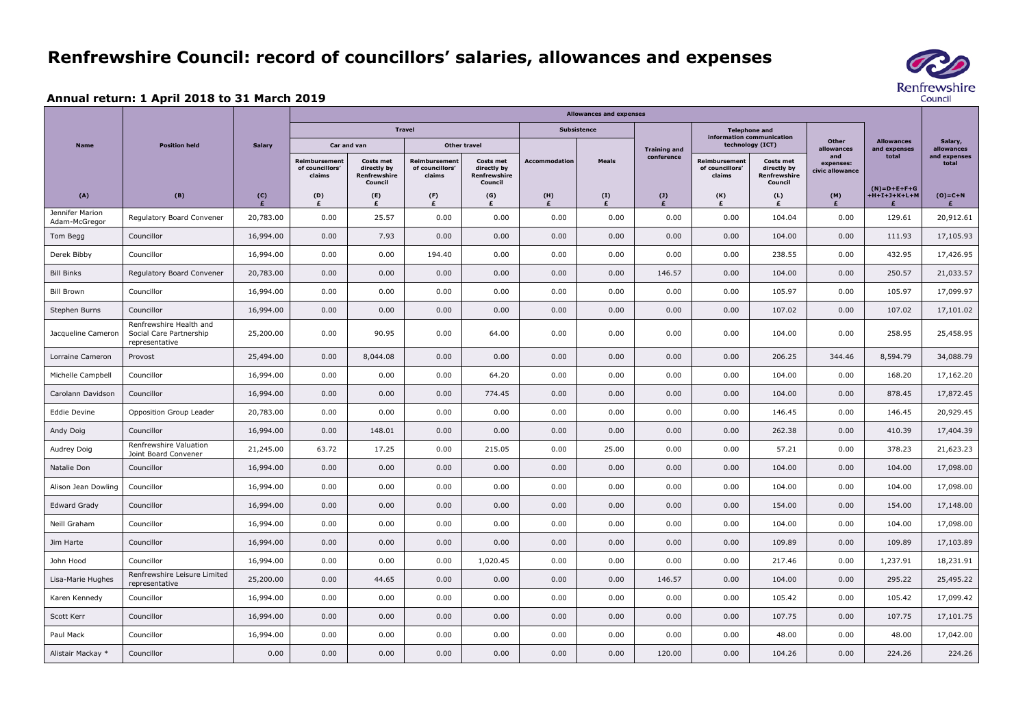## **Renfrewshire Council: record of councillors' salaries, allowances and expenses**

## **Annual return: 1 April 2018 to 31 March 2019**

|                                  | <b>Position held</b>                                                 | <b>Salary</b>                                        | <b>Allowances and expenses</b>             |                                                            |                                            |                                                            |                      |              |                                                          |                                                   |                                                            |                                     |                                   |                       |
|----------------------------------|----------------------------------------------------------------------|------------------------------------------------------|--------------------------------------------|------------------------------------------------------------|--------------------------------------------|------------------------------------------------------------|----------------------|--------------|----------------------------------------------------------|---------------------------------------------------|------------------------------------------------------------|-------------------------------------|-----------------------------------|-----------------------|
| <b>Name</b>                      |                                                                      |                                                      | <b>Travel</b>                              |                                                            |                                            |                                                            | <b>Subsistence</b>   |              |                                                          | <b>Telephone and</b><br>information communication |                                                            |                                     |                                   |                       |
|                                  |                                                                      |                                                      | Car and van                                |                                                            | <b>Other travel</b>                        |                                                            |                      |              | <b>Training and</b>                                      | technology (ICT)                                  |                                                            | <b>Other</b><br>allowances          | <b>Allowances</b><br>and expenses | Salary,<br>allowances |
|                                  |                                                                      |                                                      | Reimbursement<br>of councillors'<br>claims | <b>Costs met</b><br>directly by<br>Renfrewshire<br>Council | Reimbursement<br>of councillors'<br>claims | <b>Costs met</b><br>directly by<br>Renfrewshire<br>Council | <b>Accommodation</b> | <b>Meals</b> | conference                                               | <b>Reimbursement</b><br>of councillors'<br>claims | <b>Costs met</b><br>directly by<br>Renfrewshire<br>Council | and<br>expenses:<br>civic allowance | total                             | and expenses<br>total |
| (A)                              | (B)                                                                  | $\begin{matrix} \text{(C)} \\ \text{f} \end{matrix}$ | (D)<br>£                                   | (E)<br>£                                                   | (F)<br>£                                   | (G)<br>£                                                   | (H)<br>£             | (I)<br>£     | $\begin{array}{c} \mathbf{(J)}\\ \mathbf{f} \end{array}$ | (K)<br>£                                          | (L)                                                        | (M)<br>£                            | $(N)=D+E+F+G$<br>$+H+I+J+K+L+M$   | $(O)=C+N$<br>£        |
| Jennifer Marion<br>Adam-McGregor | Regulatory Board Convener                                            | 20,783.00                                            | 0.00                                       | 25.57                                                      | 0.00                                       | 0.00                                                       | 0.00                 | 0.00         | 0.00                                                     | 0.00                                              | 104.04                                                     | 0.00                                | 129.61                            | 20,912.61             |
| Tom Begg                         | Councillor                                                           | 16,994.00                                            | 0.00                                       | 7.93                                                       | 0.00                                       | 0.00                                                       | 0.00                 | 0.00         | 0.00                                                     | 0.00                                              | 104.00                                                     | 0.00                                | 111.93                            | 17,105.93             |
| Derek Bibby                      | Councillor                                                           | 16,994.00                                            | 0.00                                       | 0.00                                                       | 194.40                                     | 0.00                                                       | 0.00                 | 0.00         | 0.00                                                     | 0.00                                              | 238.55                                                     | 0.00                                | 432.95                            | 17,426.95             |
| <b>Bill Binks</b>                | Regulatory Board Convener                                            | 20,783.00                                            | 0.00                                       | 0.00                                                       | 0.00                                       | 0.00                                                       | 0.00                 | 0.00         | 146.57                                                   | 0.00                                              | 104.00                                                     | 0.00                                | 250.57                            | 21,033.57             |
| <b>Bill Brown</b>                | Councillor                                                           | 16,994.00                                            | 0.00                                       | 0.00                                                       | 0.00                                       | 0.00                                                       | 0.00                 | 0.00         | 0.00                                                     | 0.00                                              | 105.97                                                     | 0.00                                | 105.97                            | 17,099.97             |
| Stephen Burns                    | Councillor                                                           | 16,994.00                                            | 0.00                                       | 0.00                                                       | 0.00                                       | 0.00                                                       | 0.00                 | 0.00         | 0.00                                                     | 0.00                                              | 107.02                                                     | 0.00                                | 107.02                            | 17,101.02             |
| Jacqueline Cameron               | Renfrewshire Health and<br>Social Care Partnership<br>representative | 25,200.00                                            | 0.00                                       | 90.95                                                      | 0.00                                       | 64.00                                                      | 0.00                 | 0.00         | 0.00                                                     | 0.00                                              | 104.00                                                     | 0.00                                | 258.95                            | 25,458.95             |
| Lorraine Cameron                 | Provost                                                              | 25,494.00                                            | 0.00                                       | 8,044.08                                                   | 0.00                                       | 0.00                                                       | 0.00                 | 0.00         | 0.00                                                     | 0.00                                              | 206.25                                                     | 344.46                              | 8,594.79                          | 34,088.79             |
| Michelle Campbell                | Councillor                                                           | 16,994.00                                            | 0.00                                       | 0.00                                                       | 0.00                                       | 64.20                                                      | 0.00                 | 0.00         | 0.00                                                     | 0.00                                              | 104.00                                                     | 0.00                                | 168.20                            | 17,162.20             |
| Carolann Davidson                | Councillor                                                           | 16,994.00                                            | 0.00                                       | 0.00                                                       | 0.00                                       | 774.45                                                     | 0.00                 | 0.00         | 0.00                                                     | 0.00                                              | 104.00                                                     | 0.00                                | 878.45                            | 17,872.45             |
| Eddie Devine                     | Opposition Group Leader                                              | 20,783.00                                            | 0.00                                       | 0.00                                                       | 0.00                                       | 0.00                                                       | 0.00                 | 0.00         | 0.00                                                     | 0.00                                              | 146.45                                                     | 0.00                                | 146.45                            | 20,929.45             |
| Andy Doig                        | Councillor                                                           | 16,994.00                                            | 0.00                                       | 148.01                                                     | 0.00                                       | 0.00                                                       | 0.00                 | 0.00         | 0.00                                                     | 0.00                                              | 262.38                                                     | 0.00                                | 410.39                            | 17,404.39             |
| Audrey Doig                      | Renfrewshire Valuation<br>Joint Board Convener                       | 21,245.00                                            | 63.72                                      | 17.25                                                      | 0.00                                       | 215.05                                                     | 0.00                 | 25.00        | 0.00                                                     | 0.00                                              | 57.21                                                      | 0.00                                | 378.23                            | 21,623.23             |
| Natalie Don                      | Councillor                                                           | 16,994.00                                            | 0.00                                       | 0.00                                                       | 0.00                                       | 0.00                                                       | 0.00                 | 0.00         | 0.00                                                     | 0.00                                              | 104.00                                                     | 0.00                                | 104.00                            | 17,098.00             |
| Alison Jean Dowling              | Councillor                                                           | 16,994.00                                            | 0.00                                       | 0.00                                                       | 0.00                                       | 0.00                                                       | 0.00                 | 0.00         | 0.00                                                     | 0.00                                              | 104.00                                                     | 0.00                                | 104.00                            | 17,098.00             |
| <b>Edward Grady</b>              | Councillor                                                           | 16,994.00                                            | 0.00                                       | 0.00                                                       | 0.00                                       | 0.00                                                       | 0.00                 | 0.00         | 0.00                                                     | 0.00                                              | 154.00                                                     | 0.00                                | 154.00                            | 17,148.00             |
| Neill Graham                     | Councillor                                                           | 16,994.00                                            | 0.00                                       | 0.00                                                       | $0.00\,$                                   | 0.00                                                       | 0.00                 | 0.00         | 0.00                                                     | 0.00                                              | 104.00                                                     | 0.00                                | 104.00                            | 17,098.00             |
| Jim Harte                        | Councillor                                                           | 16,994.00                                            | 0.00                                       | 0.00                                                       | 0.00                                       | 0.00                                                       | 0.00                 | 0.00         | 0.00                                                     | 0.00                                              | 109.89                                                     | 0.00                                | 109.89                            | 17,103.89             |
| John Hood                        | Councillor                                                           | 16,994.00                                            | 0.00                                       | 0.00                                                       | 0.00                                       | 1,020.45                                                   | 0.00                 | 0.00         | 0.00                                                     | 0.00                                              | 217.46                                                     | 0.00                                | 1,237.91                          | 18,231.91             |
| Lisa-Marie Hughes                | Renfrewshire Leisure Limited<br>representative                       | 25,200.00                                            | 0.00                                       | 44.65                                                      | 0.00                                       | 0.00                                                       | 0.00                 | 0.00         | 146.57                                                   | 0.00                                              | 104.00                                                     | 0.00                                | 295.22                            | 25,495.22             |
| Karen Kennedy                    | Councillor                                                           | 16,994.00                                            | 0.00                                       | 0.00                                                       | 0.00                                       | 0.00                                                       | 0.00                 | 0.00         | 0.00                                                     | 0.00                                              | 105.42                                                     | 0.00                                | 105.42                            | 17,099.42             |
| Scott Kerr                       | Councillor                                                           | 16,994.00                                            | 0.00                                       | 0.00                                                       | 0.00                                       | 0.00                                                       | 0.00                 | 0.00         | 0.00                                                     | 0.00                                              | 107.75                                                     | 0.00                                | 107.75                            | 17,101.75             |
| Paul Mack                        | Councillor                                                           | 16,994.00                                            | 0.00                                       | 0.00                                                       | 0.00                                       | 0.00                                                       | 0.00                 | 0.00         | 0.00                                                     | 0.00                                              | 48.00                                                      | 0.00                                | 48.00                             | 17,042.00             |
| Alistair Mackay *                | Councillor                                                           | 0.00                                                 | 0.00                                       | 0.00                                                       | 0.00                                       | 0.00                                                       | 0.00                 | 0.00         | 120.00                                                   | 0.00                                              | 104.26                                                     | 0.00                                | 224.26                            | 224.26                |